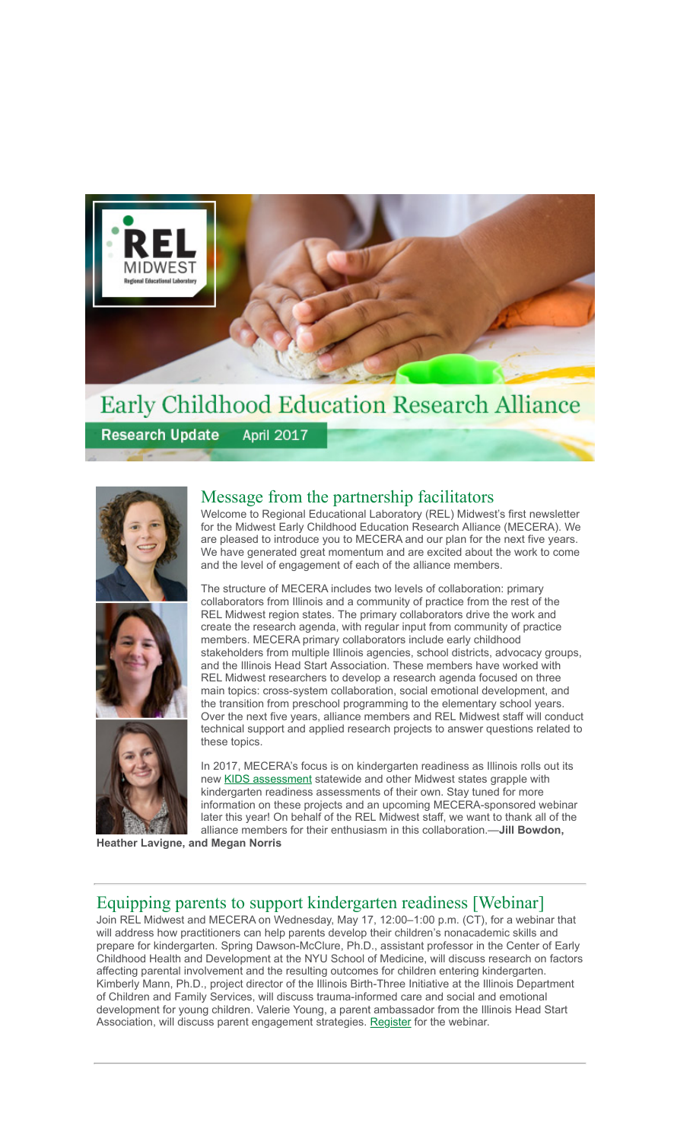

# Early Childhood Education Research Alliance

**Research Update April 2017** 







### Message from the partnership facilitators

Welcome to Regional Educational Laboratory (REL) Midwest's first newsletter for the Midwest Early Childhood Education Research Alliance (MECERA). We are pleased to introduce you to MECERA and our plan for the next five years. We have generated great momentum and are excited about the work to come and the level of engagement of each of the alliance members.

The structure of MECERA includes two levels of collaboration: primary collaborators from Illinois and a community of practice from the rest of the REL Midwest region states. The primary collaborators drive the work and create the research agenda, with regular input from community of practice members. MECERA primary collaborators include early childhood stakeholders from multiple Illinois agencies, school districts, advocacy groups, and the Illinois Head Start Association. These members have worked with REL Midwest researchers to develop a research agenda focused on three main topics: cross-system collaboration, social emotional development, and the transition from preschool programming to the elementary school years. Over the next five years, alliance members and REL Midwest staff will conduct technical support and applied research projects to answer questions related to these topics.

In 2017, MECERA's focus is on kindergarten readiness as Illinois rolls out its new [KIDS assessment](https://www.illinoiskids.org/) statewide and other Midwest states grapple with kindergarten readiness assessments of their own. Stay tuned for more information on these projects and an upcoming MECERA-sponsored webinar later this year! On behalf of the REL Midwest staff, we want to thank all of the alliance members for their enthusiasm in this collaboration.—**Jill Bowdon,**

**Heather Lavigne, and Megan Norris**

# Equipping parents to support kindergarten readiness [Webinar]

Join REL Midwest and MECERA on Wednesday, May 17, 12:00–1:00 p.m. (CT), for a webinar that will address how practitioners can help parents develop their children's nonacademic skills and prepare for kindergarten. Spring Dawson-McClure, Ph.D., assistant professor in the Center of Early Childhood Health and Development at the NYU School of Medicine, will discuss research on factors affecting parental involvement and the resulting outcomes for children entering kindergarten. Kimberly Mann, Ph.D., project director of the Illinois Birth-Three Initiative at the Illinois Department of Children and Family Services, will discuss trauma-informed care and social and emotional development for young children. Valerie Young, a parent ambassador from the Illinois Head Start Association, will discuss parent engagement strategies. [Register f](https://zoom.us/webinar/register/212f109066511786dc2040ba88984b7b)or the webinar.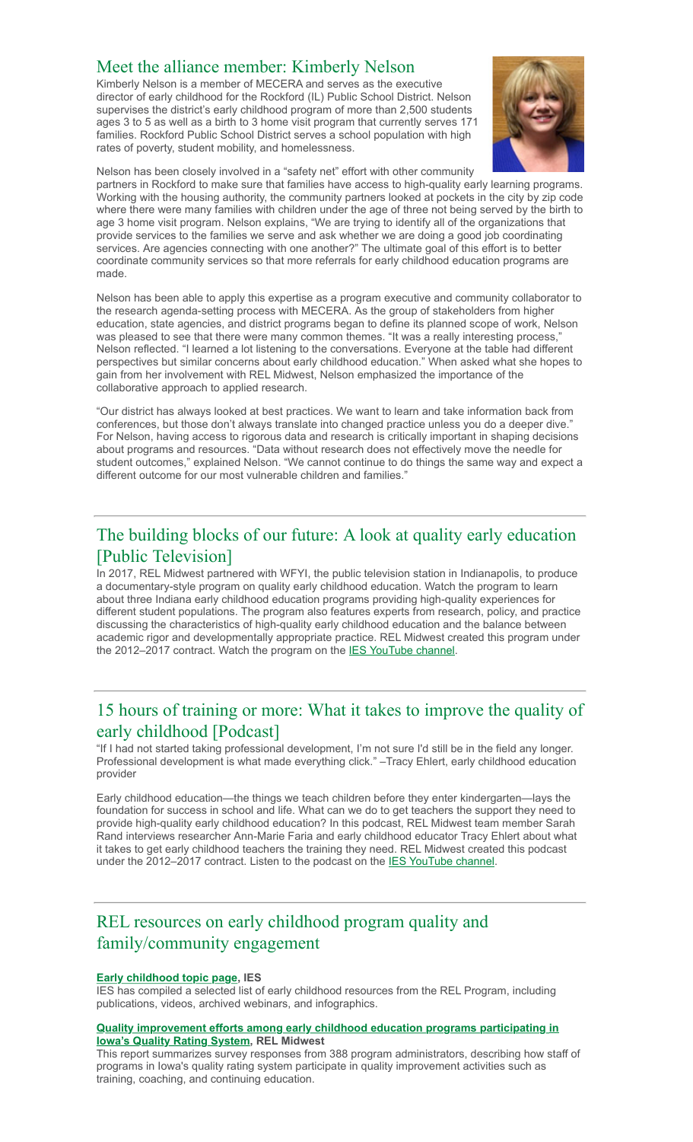### Meet the alliance member: Kimberly Nelson

Kimberly Nelson is a member of MECERA and serves as the executive director of early childhood for the Rockford (IL) Public School District. Nelson supervises the district's early childhood program of more than 2,500 students ages 3 to 5 as well as a birth to 3 home visit program that currently serves 171 families. Rockford Public School District serves a school population with high rates of poverty, student mobility, and homelessness.



Nelson has been closely involved in a "safety net" effort with other community

partners in Rockford to make sure that families have access to high-quality early learning programs. Working with the housing authority, the community partners looked at pockets in the city by zip code where there were many families with children under the age of three not being served by the birth to age 3 home visit program. Nelson explains, "We are trying to identify all of the organizations that provide services to the families we serve and ask whether we are doing a good job coordinating services. Are agencies connecting with one another?" The ultimate goal of this effort is to better coordinate community services so that more referrals for early childhood education programs are made.

Nelson has been able to apply this expertise as a program executive and community collaborator to the research agenda-setting process with MECERA. As the group of stakeholders from higher education, state agencies, and district programs began to define its planned scope of work, Nelson was pleased to see that there were many common themes. "It was a really interesting process,' Nelson reflected. "I learned a lot listening to the conversations. Everyone at the table had different perspectives but similar concerns about early childhood education." When asked what she hopes to gain from her involvement with REL Midwest, Nelson emphasized the importance of the collaborative approach to applied research.

"Our district has always looked at best practices. We want to learn and take information back from conferences, but those don't always translate into changed practice unless you do a deeper dive.' For Nelson, having access to rigorous data and research is critically important in shaping decisions about programs and resources. "Data without research does not effectively move the needle for student outcomes," explained Nelson. "We cannot continue to do things the same way and expect a different outcome for our most vulnerable children and families."

# The building blocks of our future: A look at quality early education [Public Television]

In 2017, REL Midwest partnered with WFYI, the public television station in Indianapolis, to produce a documentary-style program on quality early childhood education. Watch the program to learn about three Indiana early childhood education programs providing high-quality experiences for different student populations. The program also features experts from research, policy, and practice discussing the characteristics of high-quality early childhood education and the balance between academic rigor and developmentally appropriate practice. REL Midwest created this program under the 2012–2017 contract. Watch the program on the [IES YouTube channel.](https://youtu.be/0jyFZvyCeNk)

## 15 hours of training or more: What it takes to improve the quality of early childhood [Podcast]

"If I had not started taking professional development, I'm not sure I'd still be in the field any longer. Professional development is what made everything click." –Tracy Ehlert, early childhood education provider

Early childhood education—the things we teach children before they enter kindergarten—lays the foundation for success in school and life. What can we do to get teachers the support they need to provide high-quality early childhood education? In this podcast, REL Midwest team member Sarah Rand interviews researcher Ann-Marie Faria and early childhood educator Tracy Ehlert about what it takes to get early childhood teachers the training they need. REL Midwest created this podcast under the 2012–2017 contract. Listen to the podcast on the [IES YouTube channel.](https://youtu.be/gNzF5yQjaVM)

# REL resources on early childhood program quality and family/community engagement

#### **[Early childhood topic page,](https://ies.ed.gov/ncee/edlabs/projects/early_childhood.asp) IES**

IES has compiled a selected list of early childhood resources from the REL Program, including publications, videos, archived webinars, and infographics.

#### **[Quality improvement efforts among early childhood education programs participating in](https://ies.ed.gov/ncee/edlabs/projects/project.asp?projectID=4512) Iowa's Quality Rating System, REL Midwest**

This report summarizes survey responses from 388 program administrators, describing how staff of programs in Iowa's quality rating system participate in quality improvement activities such as training, coaching, and continuing education.